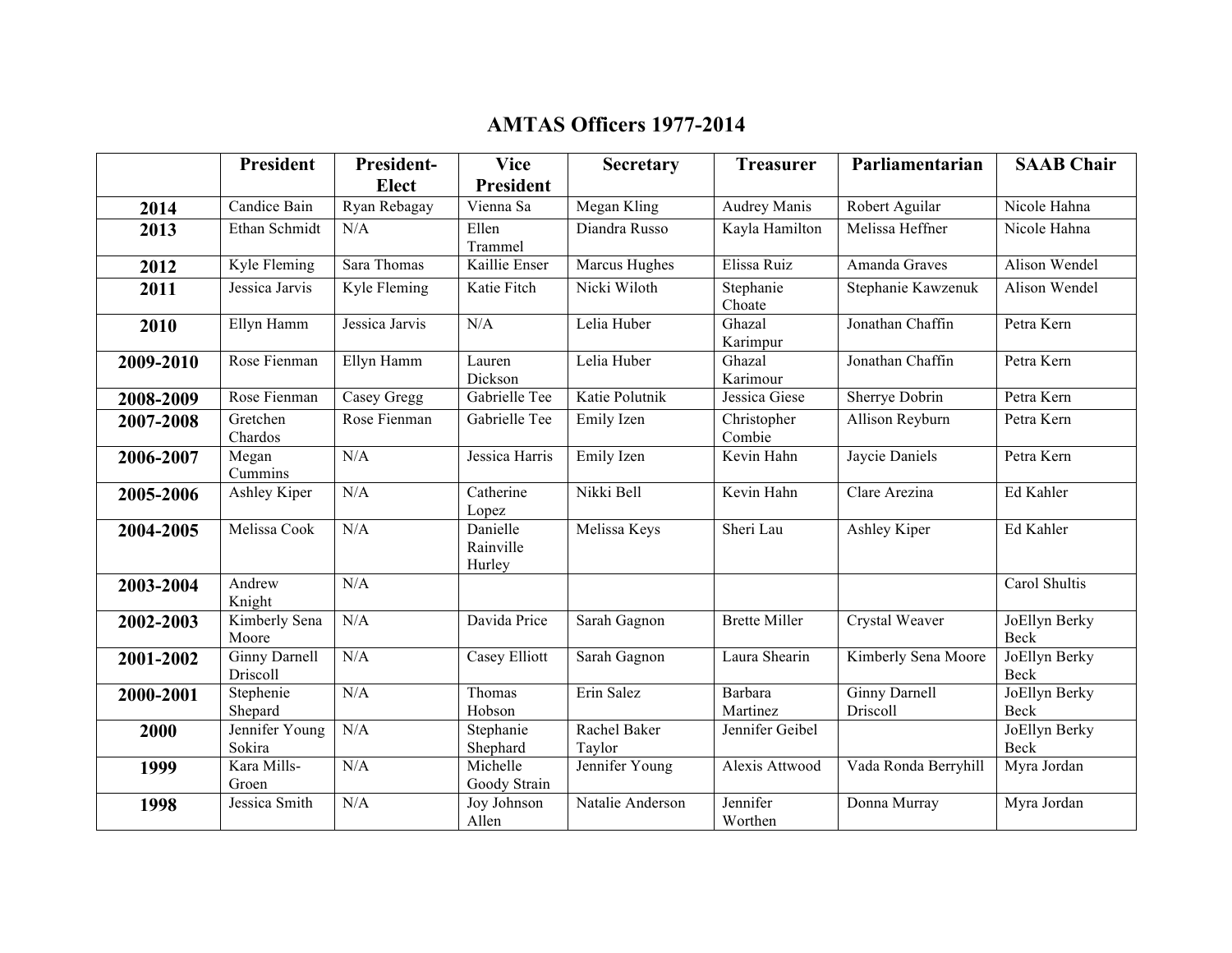## **AMTAS Officers 1977-2014**

|           | <b>President</b>                 | President-                 | <b>Vice</b>                     | <b>Secretary</b>       | <b>Treasurer</b>      | Parliamentarian                  | <b>SAAB Chair</b>            |
|-----------|----------------------------------|----------------------------|---------------------------------|------------------------|-----------------------|----------------------------------|------------------------------|
|           |                                  | <b>Elect</b>               | <b>President</b>                |                        |                       |                                  |                              |
| 2014      | Candice Bain                     | Ryan Rebagay               | Vienna Sa                       | Megan Kling            | Audrey Manis          | Robert Aguilar                   | Nicole Hahna                 |
| 2013      | Ethan Schmidt                    | N/A                        | Ellen                           | Diandra Russo          | Kayla Hamilton        | Melissa Heffner                  | Nicole Hahna                 |
|           |                                  |                            | Trammel                         |                        |                       |                                  |                              |
| 2012      | Kyle Fleming                     | Sara Thomas                | Kaillie Enser                   | Marcus Hughes          | Elissa Ruiz           | Amanda Graves                    | Alison Wendel                |
| 2011      | Jessica Jarvis                   | $\overline{K}$ yle Fleming | Katie Fitch                     | Nicki Wiloth           | Stephanie<br>Choate   | Stephanie Kawzenuk               | Alison Wendel                |
| 2010      | Ellyn Hamm                       | Jessica Jarvis             | N/A                             | Lelia Huber            | Ghazal<br>Karimpur    | Jonathan Chaffin                 | Petra Kern                   |
| 2009-2010 | Rose Fienman                     | Ellyn Hamm                 | Lauren<br>Dickson               | Lelia Huber            | Ghazal<br>Karimour    | Jonathan Chaffin                 | Petra Kern                   |
| 2008-2009 | Rose Fienman                     | Casey Gregg                | Gabrielle Tee                   | Katie Polutnik         | Jessica Giese         | Sherrye Dobrin                   | Petra Kern                   |
| 2007-2008 | Gretchen<br>Chardos              | Rose Fienman               | Gabrielle Tee                   | Emily Izen             | Christopher<br>Combie | <b>Allison Reyburn</b>           | Petra Kern                   |
| 2006-2007 | Megan<br>Cummins                 | N/A                        | Jessica Harris                  | Emily Izen             | Kevin Hahn            | Jaycie Daniels                   | Petra Kern                   |
| 2005-2006 | <b>Ashley Kiper</b>              | N/A                        | Catherine<br>Lopez              | Nikki Bell             | Kevin Hahn            | Clare Arezina                    | Ed Kahler                    |
| 2004-2005 | Melissa Cook                     | N/A                        | Danielle<br>Rainville<br>Hurley | Melissa Keys           | Sheri Lau             | Ashley Kiper                     | Ed Kahler                    |
| 2003-2004 | Andrew<br>Knight                 | N/A                        |                                 |                        |                       |                                  | Carol Shultis                |
| 2002-2003 | Kimberly Sena<br>Moore           | N/A                        | Davida Price                    | Sarah Gagnon           | <b>Brette Miller</b>  | Crystal Weaver                   | JoEllyn Berky<br>Beck        |
| 2001-2002 | <b>Ginny Darnell</b><br>Driscoll | N/A                        | Casey Elliott                   | Sarah Gagnon           | Laura Shearin         | Kimberly Sena Moore              | JoEllyn Berky<br>Beck        |
| 2000-2001 | Stephenie<br>Shepard             | N/A                        | Thomas<br>Hobson                | Erin Salez             | Barbara<br>Martinez   | <b>Ginny Darnell</b><br>Driscoll | JoEllyn Berky<br><b>Beck</b> |
| 2000      | Jennifer Young<br>Sokira         | N/A                        | Stephanie<br>Shephard           | Rachel Baker<br>Taylor | Jennifer Geibel       |                                  | JoEllyn Berky<br><b>Beck</b> |
| 1999      | Kara Mills-<br>Groen             | N/A                        | Michelle<br>Goody Strain        | Jennifer Young         | Alexis Attwood        | Vada Ronda Berryhill             | Myra Jordan                  |
| 1998      | Jessica Smith                    | N/A                        | Joy Johnson<br>Allen            | Natalie Anderson       | Jennifer<br>Worthen   | Donna Murray                     | Myra Jordan                  |